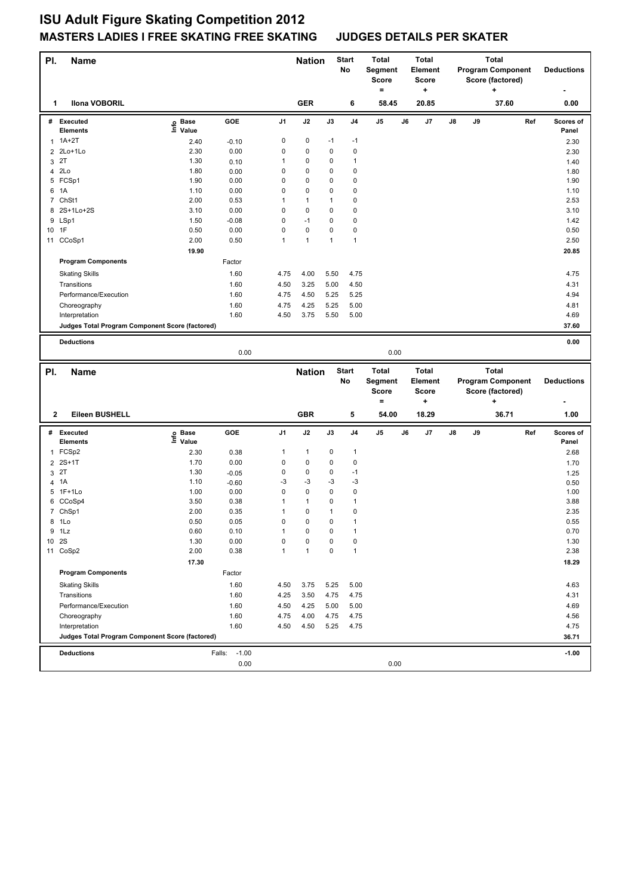| PI.<br><b>Name</b>                              |                   |              |                   | <b>Nation</b>     |                   | Start       | Total             |    | Total                   |    |    | <b>Total</b>                                 |     |                    |
|-------------------------------------------------|-------------------|--------------|-------------------|-------------------|-------------------|-------------|-------------------|----|-------------------------|----|----|----------------------------------------------|-----|--------------------|
|                                                 |                   |              |                   |                   |                   | No          | Segment<br>Score  |    | Element<br><b>Score</b> |    |    | <b>Program Component</b><br>Score (factored) |     | <b>Deductions</b>  |
|                                                 |                   |              |                   |                   |                   |             | $=$               |    | +                       |    |    | ٠                                            |     |                    |
| <b>Ilona VOBORIL</b><br>1                       |                   |              |                   | <b>GER</b>        |                   | 6           | 58.45             |    | 20.85                   |    |    | 37.60                                        |     | 0.00               |
| # Executed<br><b>Elements</b>                   | e Base<br>⊑ Value | GOE          | J1                | J2                | J3                | J4          | J5                | J6 | J7                      | J8 | J9 |                                              | Ref | Scores of<br>Panel |
| $1$ 1A+2T                                       | 2.40              | $-0.10$      | 0                 | 0                 | $-1$              | $-1$        |                   |    |                         |    |    |                                              |     | 2.30               |
| 2 2Lo+1Lo                                       | 2.30              | 0.00         | 0                 | 0                 | 0                 | $\mathbf 0$ |                   |    |                         |    |    |                                              |     | 2.30               |
| 3 2T                                            | 1.30              | 0.10         | 1                 | 0                 | 0                 | 1           |                   |    |                         |    |    |                                              |     | 1.40               |
| 4 2Lo                                           | 1.80              | 0.00         | 0                 | 0                 | 0                 | 0           |                   |    |                         |    |    |                                              |     | 1.80               |
| 5 FCSp1                                         | 1.90              | 0.00         | 0                 | 0                 | 0                 | 0           |                   |    |                         |    |    |                                              |     | 1.90               |
| 6 1A                                            | 1.10              | 0.00         | 0                 | 0                 | 0                 | 0           |                   |    |                         |    |    |                                              |     | 1.10               |
| 7 ChSt1                                         | 2.00              | 0.53         | 1                 | $\mathbf{1}$      | 1                 | 0           |                   |    |                         |    |    |                                              |     | 2.53               |
| 8 2S+1Lo+2S                                     | 3.10              | 0.00         | $\mathsf 0$       | 0                 | 0                 | 0           |                   |    |                         |    |    |                                              |     | 3.10               |
| 9 LSp1                                          | 1.50              | $-0.08$      | 0                 | $-1$              | 0                 | 0           |                   |    |                         |    |    |                                              |     | 1.42               |
| 1F<br>10<br>11 CCoSp1                           | 0.50<br>2.00      | 0.00<br>0.50 | $\mathsf 0$<br>1  | 0<br>$\mathbf{1}$ | 0<br>$\mathbf{1}$ | 0<br>1      |                   |    |                         |    |    |                                              |     | 0.50<br>2.50       |
|                                                 |                   |              |                   |                   |                   |             |                   |    |                         |    |    |                                              |     |                    |
|                                                 | 19.90             |              |                   |                   |                   |             |                   |    |                         |    |    |                                              |     | 20.85              |
| <b>Program Components</b>                       |                   | Factor       |                   |                   |                   |             |                   |    |                         |    |    |                                              |     |                    |
| <b>Skating Skills</b>                           |                   | 1.60         | 4.75              | 4.00              | 5.50              | 4.75        |                   |    |                         |    |    |                                              |     | 4.75               |
| Transitions                                     |                   | 1.60         | 4.50              | 3.25              | 5.00              | 4.50        |                   |    |                         |    |    |                                              |     | 4.31               |
| Performance/Execution                           |                   | 1.60         | 4.75              | 4.50              | 5.25              | 5.25        |                   |    |                         |    |    |                                              |     | 4.94               |
| Choreography                                    |                   | 1.60         | 4.75              | 4.25              | 5.25              | 5.00        |                   |    |                         |    |    |                                              |     | 4.81               |
| Interpretation                                  |                   | 1.60         | 4.50              | 3.75              | 5.50              | 5.00        |                   |    |                         |    |    |                                              |     | 4.69               |
| Judges Total Program Component Score (factored) |                   |              |                   |                   |                   |             |                   |    |                         |    |    |                                              |     | 37.60              |
| <b>Deductions</b>                               |                   |              |                   |                   |                   |             |                   |    |                         |    |    |                                              |     | 0.00               |
|                                                 |                   |              |                   |                   |                   |             |                   |    |                         |    |    |                                              |     |                    |
|                                                 |                   | 0.00         |                   |                   |                   |             | 0.00              |    |                         |    |    |                                              |     |                    |
| <b>Name</b>                                     |                   |              |                   | <b>Nation</b>     |                   | Start       | Total             |    | Total                   |    |    | <b>Total</b>                                 |     |                    |
| PI.                                             |                   |              |                   |                   |                   | No          | Segment           |    | <b>Element</b>          |    |    | <b>Program Component</b>                     |     | <b>Deductions</b>  |
|                                                 |                   |              |                   |                   |                   |             | Score             |    | <b>Score</b>            |    |    | Score (factored)                             |     |                    |
|                                                 |                   |              |                   |                   |                   |             | $\qquad \qquad =$ |    | +                       |    |    | ۰.                                           |     |                    |
| Eileen BUSHELL<br>2                             |                   |              |                   | <b>GBR</b>        |                   | 5           | 54.00             |    | 18.29                   |    |    | 36.71                                        |     | 1.00               |
| # Executed                                      |                   | GOE          | J1                | J2                | J3                | J4          | J5                | J6 | J7                      | J8 | J9 |                                              | Ref | Scores of          |
| <b>Elements</b>                                 | e Base<br>E Value |              |                   |                   |                   |             |                   |    |                         |    |    |                                              |     | Panel              |
| 1 FCSp2                                         | 2.30              | 0.38         | 1                 | $\mathbf{1}$      | 0                 | 1           |                   |    |                         |    |    |                                              |     | 2.68               |
| $2 \t2S+1T$                                     | 1.70              | 0.00         | 0                 | 0                 | 0                 | 0           |                   |    |                         |    |    |                                              |     | 1.70               |
| 3 2T                                            | 1.30              | $-0.05$      | 0                 | 0                 | 0                 | $-1$        |                   |    |                         |    |    |                                              |     | 1.25               |
| 4 1A                                            | 1.10              | $-0.60$      | -3<br>$\mathsf 0$ | $-3$<br>0         | $-3$<br>0         | $-3$<br>0   |                   |    |                         |    |    |                                              |     | 0.50               |
| 5 1F+1Lo<br>6 CCoSp4                            | 1.00<br>3.50      | 0.00<br>0.38 | 1                 | $\mathbf{1}$      | 0                 | 1           |                   |    |                         |    |    |                                              |     | 1.00<br>3.88       |
|                                                 | 2.00              | 0.35         | $\mathbf{1}$      | 0                 | $\mathbf{1}$      | 0           |                   |    |                         |    |    |                                              |     | 2.35               |
| 7 ChSp1<br>8 1Lo                                | 0.50              | 0.05         | 0                 | 0                 | 0                 | 1           |                   |    |                         |    |    |                                              |     | 0.55               |
| 9 1Lz                                           | 0.60              | 0.10         | 1                 | 0                 | 0                 | 1           |                   |    |                         |    |    |                                              |     | 0.70               |
| 10 2S                                           | 1.30              | 0.00         | 0                 | 0                 | 0                 | 0           |                   |    |                         |    |    |                                              |     | 1.30               |
| 11 CoSp2                                        | 2.00              | 0.38         | 1                 | $\mathbf{1}$      | 0                 | 1           |                   |    |                         |    |    |                                              |     | 2.38               |
|                                                 | 17.30             |              |                   |                   |                   |             |                   |    |                         |    |    |                                              |     | 18.29              |
| <b>Program Components</b>                       |                   | Factor       |                   |                   |                   |             |                   |    |                         |    |    |                                              |     |                    |
| <b>Skating Skills</b>                           |                   | 1.60         | 4.50              | 3.75              | 5.25              | 5.00        |                   |    |                         |    |    |                                              |     | 4.63               |
| Transitions                                     |                   | 1.60         | 4.25              | 3.50              | 4.75              | 4.75        |                   |    |                         |    |    |                                              |     | 4.31               |
| Performance/Execution                           |                   | 1.60         | 4.50              | 4.25              | 5.00              | 5.00        |                   |    |                         |    |    |                                              |     | 4.69               |
| Choreography                                    |                   | 1.60         | 4.75              | 4.00              | 4.75              | 4.75        |                   |    |                         |    |    |                                              |     | 4.56               |
| Interpretation                                  |                   | 1.60         | 4.50              | 4.50              | 5.25              | 4.75        |                   |    |                         |    |    |                                              |     | 4.75               |

**Deductions** Falls: -1.00 **-1.00**

0.00 0.00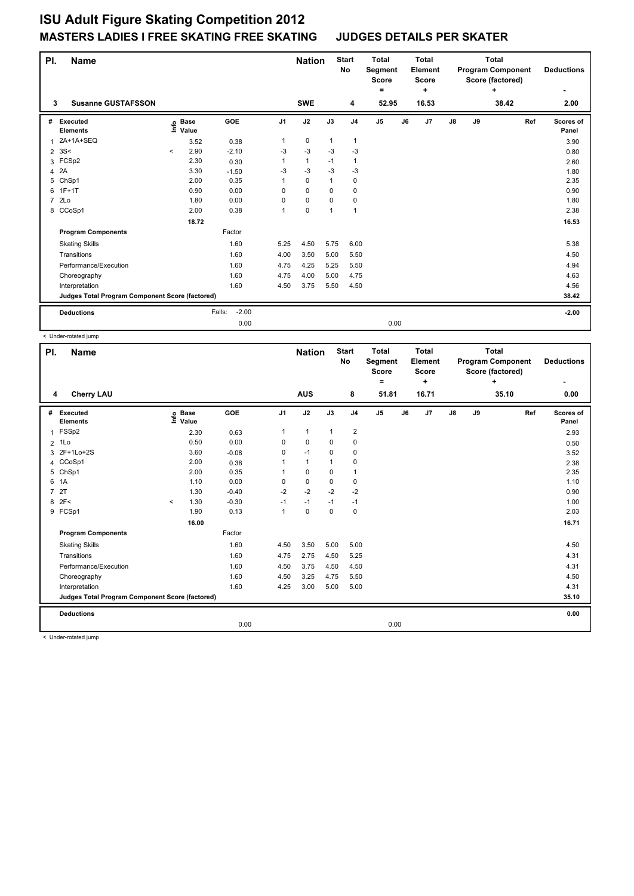| PI.            | <b>Name</b>                                     |          |                      |                   |                | <b>Nation</b> |              | <b>Start</b><br>No | <b>Total</b><br>Segment<br><b>Score</b><br>= |    | <b>Total</b><br>Element<br><b>Score</b><br>٠ | <b>Total</b><br><b>Program Component</b><br>Score (factored)<br>÷ |    |       | <b>Deductions</b> |                    |
|----------------|-------------------------------------------------|----------|----------------------|-------------------|----------------|---------------|--------------|--------------------|----------------------------------------------|----|----------------------------------------------|-------------------------------------------------------------------|----|-------|-------------------|--------------------|
| 3              | <b>Susanne GUSTAFSSON</b>                       |          |                      |                   |                | <b>SWE</b>    |              | 4                  | 52.95                                        |    | 16.53                                        |                                                                   |    | 38.42 |                   | 2.00               |
| #              | Executed<br><b>Elements</b>                     | ۴۵       | <b>Base</b><br>Value | GOE               | J <sub>1</sub> | J2            | J3           | J <sub>4</sub>     | J <sub>5</sub>                               | J6 | J7                                           | J8                                                                | J9 |       | Ref               | Scores of<br>Panel |
|                | 1 2A+1A+SEQ                                     |          | 3.52                 | 0.38              | 1              | $\mathbf 0$   | $\mathbf{1}$ | $\mathbf{1}$       |                                              |    |                                              |                                                                   |    |       |                   | 3.90               |
| $\overline{2}$ | 3S<                                             | $\hat{}$ | 2.90                 | $-2.10$           | $-3$           | $-3$          | $-3$         | $-3$               |                                              |    |                                              |                                                                   |    |       |                   | 0.80               |
|                | 3 FCSp2                                         |          | 2.30                 | 0.30              | 1              | $\mathbf{1}$  | $-1$         | $\mathbf{1}$       |                                              |    |                                              |                                                                   |    |       |                   | 2.60               |
| 4              | 2A                                              |          | 3.30                 | $-1.50$           | $-3$           | $-3$          | $-3$         | -3                 |                                              |    |                                              |                                                                   |    |       |                   | 1.80               |
| 5              | ChSp1                                           |          | 2.00                 | 0.35              | 1              | $\mathbf 0$   | 1            | $\mathbf 0$        |                                              |    |                                              |                                                                   |    |       |                   | 2.35               |
| 6              | $1F+1T$                                         |          | 0.90                 | 0.00              | 0              | $\mathbf 0$   | $\mathbf 0$  | 0                  |                                              |    |                                              |                                                                   |    |       |                   | 0.90               |
| $\overline{7}$ | 2Lo                                             |          | 1.80                 | 0.00              | 0              | 0             | 0            | 0                  |                                              |    |                                              |                                                                   |    |       |                   | 1.80               |
|                | 8 CCoSp1                                        |          | 2.00                 | 0.38              | 1              | 0             | 1            | $\mathbf{1}$       |                                              |    |                                              |                                                                   |    |       |                   | 2.38               |
|                |                                                 |          | 18.72                |                   |                |               |              |                    |                                              |    |                                              |                                                                   |    |       |                   | 16.53              |
|                | <b>Program Components</b>                       |          |                      | Factor            |                |               |              |                    |                                              |    |                                              |                                                                   |    |       |                   |                    |
|                | <b>Skating Skills</b>                           |          |                      | 1.60              | 5.25           | 4.50          | 5.75         | 6.00               |                                              |    |                                              |                                                                   |    |       |                   | 5.38               |
|                | Transitions                                     |          |                      | 1.60              | 4.00           | 3.50          | 5.00         | 5.50               |                                              |    |                                              |                                                                   |    |       |                   | 4.50               |
|                | Performance/Execution                           |          |                      | 1.60              | 4.75           | 4.25          | 5.25         | 5.50               |                                              |    |                                              |                                                                   |    |       |                   | 4.94               |
|                | Choreography                                    |          |                      | 1.60              | 4.75           | 4.00          | 5.00         | 4.75               |                                              |    |                                              |                                                                   |    |       |                   | 4.63               |
|                | Interpretation                                  |          |                      | 1.60              | 4.50           | 3.75          | 5.50         | 4.50               |                                              |    |                                              |                                                                   |    |       |                   | 4.56               |
|                | Judges Total Program Component Score (factored) |          |                      |                   |                |               |              |                    |                                              |    |                                              |                                                                   |    |       |                   | 38.42              |
|                | <b>Deductions</b>                               |          |                      | $-2.00$<br>Falls: |                |               |              |                    |                                              |    |                                              |                                                                   |    |       |                   | $-2.00$            |
|                |                                                 |          |                      | 0.00              |                |               |              |                    | 0.00                                         |    |                                              |                                                                   |    |       |                   |                    |

|                | < Under-rotated jump                            |         |                      |         |                           |                                                |              |                                         |                |                                                              |                   |               |    |       |                    |
|----------------|-------------------------------------------------|---------|----------------------|---------|---------------------------|------------------------------------------------|--------------|-----------------------------------------|----------------|--------------------------------------------------------------|-------------------|---------------|----|-------|--------------------|
| PI.            | <b>Name</b>                                     |         | <b>Nation</b>        |         | <b>Start</b><br><b>No</b> | <b>Total</b><br><b>Segment</b><br><b>Score</b> |              | <b>Total</b><br>Element<br><b>Score</b> |                | <b>Total</b><br><b>Program Component</b><br>Score (factored) | <b>Deductions</b> |               |    |       |                    |
|                |                                                 |         |                      |         |                           |                                                |              |                                         | ۰              |                                                              | ÷                 |               |    | ÷     |                    |
| 4              | <b>Cherry LAU</b>                               |         |                      |         |                           | <b>AUS</b>                                     |              | 8                                       | 51.81          |                                                              | 16.71             |               |    | 35.10 | 0.00               |
| #              | Executed<br><b>Elements</b>                     | e       | <b>Base</b><br>Value | GOE     | J <sub>1</sub>            | J2                                             | J3           | J <sub>4</sub>                          | J <sub>5</sub> | J6                                                           | J7                | $\mathsf{J}8$ | J9 | Ref   | Scores of<br>Panel |
| $\mathbf{1}$   | FSSp2                                           |         | 2.30                 | 0.63    | 1                         | $\mathbf{1}$                                   | $\mathbf{1}$ | $\boldsymbol{2}$                        |                |                                                              |                   |               |    |       | 2.93               |
|                | 2 1Lo                                           |         | 0.50                 | 0.00    | 0                         | 0                                              | 0            | 0                                       |                |                                                              |                   |               |    |       | 0.50               |
|                | 3 2F+1Lo+2S                                     |         | 3.60                 | $-0.08$ | 0                         | $-1$                                           | 0            | 0                                       |                |                                                              |                   |               |    |       | 3.52               |
|                | 4 CCoSp1                                        |         | 2.00                 | 0.38    | 1                         | $\mathbf{1}$                                   | $\mathbf{1}$ | 0                                       |                |                                                              |                   |               |    |       | 2.38               |
| 5              | ChSp1                                           |         | 2.00                 | 0.35    | 1                         | 0                                              | 0            | $\mathbf{1}$                            |                |                                                              |                   |               |    |       | 2.35               |
| 6              | 1A                                              |         | 1.10                 | 0.00    | 0                         | $\mathbf 0$                                    | 0            | $\pmb{0}$                               |                |                                                              |                   |               |    |       | 1.10               |
| $\overline{7}$ | 2T                                              |         | 1.30                 | $-0.40$ | $-2$                      | $-2$                                           | $-2$         | $-2$                                    |                |                                                              |                   |               |    |       | 0.90               |
| 8              | 2F<                                             | $\prec$ | 1.30                 | $-0.30$ | $-1$                      | $-1$                                           | $-1$         | $-1$                                    |                |                                                              |                   |               |    |       | 1.00               |
|                | 9 FCSp1                                         |         | 1.90                 | 0.13    | $\mathbf{1}$              | $\mathbf 0$                                    | $\mathbf 0$  | $\mathbf 0$                             |                |                                                              |                   |               |    |       | 2.03               |
|                |                                                 |         | 16.00                |         |                           |                                                |              |                                         |                |                                                              |                   |               |    |       | 16.71              |
|                | <b>Program Components</b>                       |         |                      | Factor  |                           |                                                |              |                                         |                |                                                              |                   |               |    |       |                    |
|                | <b>Skating Skills</b>                           |         |                      | 1.60    | 4.50                      | 3.50                                           | 5.00         | 5.00                                    |                |                                                              |                   |               |    |       | 4.50               |
|                | Transitions                                     |         |                      | 1.60    | 4.75                      | 2.75                                           | 4.50         | 5.25                                    |                |                                                              |                   |               |    |       | 4.31               |
|                | Performance/Execution                           |         |                      | 1.60    | 4.50                      | 3.75                                           | 4.50         | 4.50                                    |                |                                                              |                   |               |    |       | 4.31               |
|                | Choreography                                    |         |                      | 1.60    | 4.50                      | 3.25                                           | 4.75         | 5.50                                    |                |                                                              |                   |               |    |       | 4.50               |
|                | Interpretation                                  |         |                      | 1.60    | 4.25                      | 3.00                                           | 5.00         | 5.00                                    |                |                                                              |                   |               |    |       | 4.31               |
|                | Judges Total Program Component Score (factored) |         |                      |         |                           |                                                |              |                                         |                |                                                              |                   |               |    |       | 35.10              |
|                | <b>Deductions</b>                               |         |                      |         |                           |                                                |              |                                         |                |                                                              |                   |               |    |       | 0.00               |
|                |                                                 |         |                      | 0.00    |                           |                                                |              |                                         | 0.00           |                                                              |                   |               |    |       |                    |

< Under-rotated jump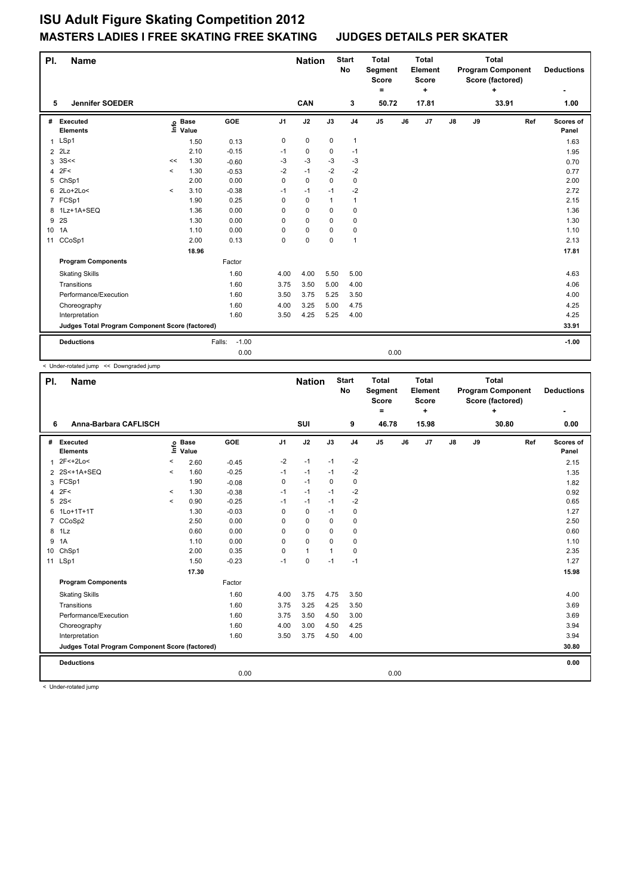| PI.             | <b>Name</b>                                     |         |                      |                   |                | <b>Nation</b> |              | <b>Start</b><br><b>No</b> | <b>Total</b><br>Segment<br><b>Score</b> | <b>Total</b><br>Element<br><b>Score</b> |               | <b>Program Component</b><br>Score (factored) | <b>Deductions</b> |                    |
|-----------------|-------------------------------------------------|---------|----------------------|-------------------|----------------|---------------|--------------|---------------------------|-----------------------------------------|-----------------------------------------|---------------|----------------------------------------------|-------------------|--------------------|
|                 | <b>Jennifer SOEDER</b>                          |         |                      |                   |                |               |              |                           | Ξ.                                      | ÷                                       |               |                                              | ÷                 |                    |
| 5               |                                                 |         |                      |                   |                | CAN           |              | 3                         | 50.72                                   | 17.81                                   |               |                                              | 33.91             | 1.00               |
| #               | Executed<br><b>Elements</b>                     | lnfo    | <b>Base</b><br>Value | GOE               | J <sub>1</sub> | J2            | J3           | J <sub>4</sub>            | J <sub>5</sub>                          | J7<br>J6                                | $\mathsf{J}8$ | J9                                           | Ref               | Scores of<br>Panel |
| 1               | LSp1                                            |         | 1.50                 | 0.13              | 0              | $\mathbf 0$   | 0            | $\mathbf{1}$              |                                         |                                         |               |                                              |                   | 1.63               |
| $\overline{2}$  | 2Lz                                             |         | 2.10                 | $-0.15$           | $-1$           | 0             | $\mathbf 0$  | $-1$                      |                                         |                                         |               |                                              |                   | 1.95               |
| 3               | 3S<<                                            | <<      | 1.30                 | $-0.60$           | $-3$           | $-3$          | $-3$         | $-3$                      |                                         |                                         |               |                                              |                   | 0.70               |
| 4               | 2F<                                             | $\prec$ | 1.30                 | $-0.53$           | $-2$           | $-1$          | $-2$         | $-2$                      |                                         |                                         |               |                                              |                   | 0.77               |
| 5               | ChSp1                                           |         | 2.00                 | 0.00              | 0              | $\mathbf 0$   | $\mathbf 0$  | $\mathbf 0$               |                                         |                                         |               |                                              |                   | 2.00               |
| 6               | 2Lo+2Lo<                                        | $\prec$ | 3.10                 | $-0.38$           | $-1$           | $-1$          | $-1$         | $-2$                      |                                         |                                         |               |                                              |                   | 2.72               |
| 7               | FCSp1                                           |         | 1.90                 | 0.25              | 0              | $\mathbf 0$   | $\mathbf{1}$ | $\mathbf{1}$              |                                         |                                         |               |                                              |                   | 2.15               |
|                 | 8 1Lz+1A+SEQ                                    |         | 1.36                 | 0.00              | 0              | 0             | 0            | 0                         |                                         |                                         |               |                                              |                   | 1.36               |
| 9               | 2S                                              |         | 1.30                 | 0.00              | 0              | $\mathbf 0$   | $\mathbf 0$  | $\mathbf 0$               |                                         |                                         |               |                                              |                   | 1.30               |
| 10 <sup>1</sup> | 1A                                              |         | 1.10                 | 0.00              | 0              | $\mathbf 0$   | 0            | $\mathbf 0$               |                                         |                                         |               |                                              |                   | 1.10               |
| 11              | CCoSp1                                          |         | 2.00                 | 0.13              | 0              | $\pmb{0}$     | $\mathbf 0$  | $\mathbf{1}$              |                                         |                                         |               |                                              |                   | 2.13               |
|                 |                                                 |         | 18.96                |                   |                |               |              |                           |                                         |                                         |               |                                              |                   | 17.81              |
|                 | <b>Program Components</b>                       |         |                      | Factor            |                |               |              |                           |                                         |                                         |               |                                              |                   |                    |
|                 | <b>Skating Skills</b>                           |         |                      | 1.60              | 4.00           | 4.00          | 5.50         | 5.00                      |                                         |                                         |               |                                              |                   | 4.63               |
|                 | Transitions                                     |         |                      | 1.60              | 3.75           | 3.50          | 5.00         | 4.00                      |                                         |                                         |               |                                              |                   | 4.06               |
|                 | Performance/Execution                           |         |                      | 1.60              | 3.50           | 3.75          | 5.25         | 3.50                      |                                         |                                         |               |                                              |                   | 4.00               |
|                 | Choreography                                    |         |                      | 1.60              | 4.00           | 3.25          | 5.00         | 4.75                      |                                         |                                         |               |                                              |                   | 4.25               |
|                 | Interpretation                                  |         |                      | 1.60              | 3.50           | 4.25          | 5.25         | 4.00                      |                                         |                                         |               |                                              |                   | 4.25               |
|                 | Judges Total Program Component Score (factored) |         |                      |                   |                |               |              |                           |                                         |                                         |               |                                              |                   | 33.91              |
|                 | <b>Deductions</b>                               |         |                      | $-1.00$<br>Falls: |                |               |              |                           |                                         |                                         |               |                                              |                   | $-1.00$            |
|                 |                                                 |         |                      | 0.00              |                |               |              |                           | 0.00                                    |                                         |               |                                              |                   |                    |

< Under-rotated jump << Downgraded jump

| PI. | <b>Name</b>                                     |          |                      |         |                | <b>Nation</b> |          | <b>Start</b><br><b>No</b> | <b>Total</b><br>Segment<br><b>Score</b><br>$\equiv$ |    | <b>Total</b><br>Element<br><b>Score</b><br>$\ddot{}$ |               |    | <b>Total</b><br><b>Program Component</b><br>Score (factored)<br>٠ |     | <b>Deductions</b>  |
|-----|-------------------------------------------------|----------|----------------------|---------|----------------|---------------|----------|---------------------------|-----------------------------------------------------|----|------------------------------------------------------|---------------|----|-------------------------------------------------------------------|-----|--------------------|
| 6   | Anna-Barbara CAFLISCH                           |          |                      |         |                | SUI           |          | 9                         | 46.78                                               |    | 15.98                                                |               |    | 30.80                                                             |     | 0.00               |
| #   | Executed<br><b>Elements</b>                     | ١nfo     | <b>Base</b><br>Value | GOE     | J <sub>1</sub> | J2            | J3       | J <sub>4</sub>            | J <sub>5</sub>                                      | J6 | J7                                                   | $\mathsf{J}8$ | J9 |                                                                   | Ref | Scores of<br>Panel |
| 1   | 2F<+2Lo<                                        | $\,<$    | 2.60                 | $-0.45$ | $-2$           | $-1$          | $-1$     | $-2$                      |                                                     |    |                                                      |               |    |                                                                   |     | 2.15               |
|     | 2 2S<+1A+SEQ                                    | $\hat{}$ | 1.60                 | $-0.25$ | $-1$           | $-1$          | $-1$     | $-2$                      |                                                     |    |                                                      |               |    |                                                                   |     | 1.35               |
| 3   | FCSp1                                           |          | 1.90                 | $-0.08$ | $\mathbf 0$    | $-1$          | 0        | 0                         |                                                     |    |                                                      |               |    |                                                                   |     | 1.82               |
| 4   | 2F<                                             | $\prec$  | 1.30                 | $-0.38$ | $-1$           | $-1$          | $-1$     | $-2$                      |                                                     |    |                                                      |               |    |                                                                   |     | 0.92               |
| 5   | 2S<                                             | $\prec$  | 0.90                 | $-0.25$ | $-1$           | $-1$          | $-1$     | $-2$                      |                                                     |    |                                                      |               |    |                                                                   |     | 0.65               |
| 6   | 1Lo+1T+1T                                       |          | 1.30                 | $-0.03$ | 0              | $\mathbf 0$   | $-1$     | 0                         |                                                     |    |                                                      |               |    |                                                                   |     | 1.27               |
| 7   | CCoSp2                                          |          | 2.50                 | 0.00    | 0              | 0             | $\Omega$ | 0                         |                                                     |    |                                                      |               |    |                                                                   |     | 2.50               |
|     | 8 1Lz                                           |          | 0.60                 | 0.00    | 0              | 0             | 0        | 0                         |                                                     |    |                                                      |               |    |                                                                   |     | 0.60               |
| 9   | 1A                                              |          | 1.10                 | 0.00    | 0              | $\Omega$      | $\Omega$ | 0                         |                                                     |    |                                                      |               |    |                                                                   |     | 1.10               |
|     | 10 ChSp1                                        |          | 2.00                 | 0.35    | 0              | $\mathbf{1}$  |          | 0                         |                                                     |    |                                                      |               |    |                                                                   |     | 2.35               |
|     | 11 LSp1                                         |          | 1.50                 | $-0.23$ | $-1$           | $\mathbf 0$   | $-1$     | $-1$                      |                                                     |    |                                                      |               |    |                                                                   |     | 1.27               |
|     |                                                 |          | 17.30                |         |                |               |          |                           |                                                     |    |                                                      |               |    |                                                                   |     | 15.98              |
|     | <b>Program Components</b>                       |          |                      | Factor  |                |               |          |                           |                                                     |    |                                                      |               |    |                                                                   |     |                    |
|     | <b>Skating Skills</b>                           |          |                      | 1.60    | 4.00           | 3.75          | 4.75     | 3.50                      |                                                     |    |                                                      |               |    |                                                                   |     | 4.00               |
|     | Transitions                                     |          |                      | 1.60    | 3.75           | 3.25          | 4.25     | 3.50                      |                                                     |    |                                                      |               |    |                                                                   |     | 3.69               |
|     | Performance/Execution                           |          |                      | 1.60    | 3.75           | 3.50          | 4.50     | 3.00                      |                                                     |    |                                                      |               |    |                                                                   |     | 3.69               |
|     | Choreography                                    |          |                      | 1.60    | 4.00           | 3.00          | 4.50     | 4.25                      |                                                     |    |                                                      |               |    |                                                                   |     | 3.94               |
|     | Interpretation                                  |          |                      | 1.60    | 3.50           | 3.75          | 4.50     | 4.00                      |                                                     |    |                                                      |               |    |                                                                   |     | 3.94               |
|     | Judges Total Program Component Score (factored) |          |                      |         |                |               |          |                           |                                                     |    |                                                      |               |    |                                                                   |     | 30.80              |
|     | <b>Deductions</b>                               |          |                      |         |                |               |          |                           |                                                     |    |                                                      |               |    |                                                                   |     | 0.00               |
|     |                                                 |          |                      | 0.00    |                |               |          |                           | 0.00                                                |    |                                                      |               |    |                                                                   |     |                    |

< Under-rotated jump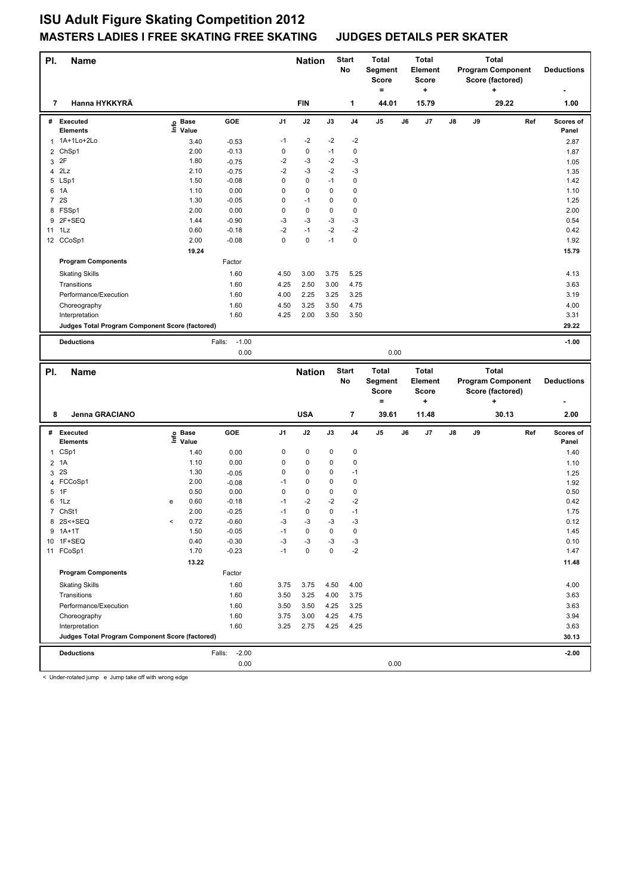| PI. | <b>Name</b>                                     |                              |                   |                | <b>Nation</b> |             | <b>Start</b><br>No      | <b>Total</b><br>Segment |    | <b>Total</b><br>Element |    | <b>Total</b><br><b>Program Component</b> |                          |     | <b>Deductions</b>  |
|-----|-------------------------------------------------|------------------------------|-------------------|----------------|---------------|-------------|-------------------------|-------------------------|----|-------------------------|----|------------------------------------------|--------------------------|-----|--------------------|
|     |                                                 |                              |                   |                |               |             |                         | <b>Score</b>            |    | <b>Score</b>            |    |                                          | Score (factored)         |     |                    |
| 7   | Hanna HYKKYRÄ                                   |                              |                   |                | <b>FIN</b>    |             | $\mathbf{1}$            | $=$<br>44.01            |    | ÷<br>15.79              |    |                                          | ÷<br>29.22               |     | 1.00               |
|     |                                                 |                              |                   |                |               |             |                         |                         |    |                         |    |                                          |                          |     |                    |
|     | # Executed<br><b>Elements</b>                   | <b>Base</b><br>١nfo<br>Value | GOE               | J1             | J2            | J3          | J <sub>4</sub>          | J5                      | J6 | J7                      | J8 | J9                                       |                          | Ref | Scores of<br>Panel |
|     | 1 1A+1Lo+2Lo                                    | 3.40                         | $-0.53$           | $-1$           | $-2$          | $-2$        | $-2$                    |                         |    |                         |    |                                          |                          |     | 2.87               |
|     | 2 ChSp1                                         | 2.00                         | $-0.13$           | 0              | $\pmb{0}$     | $-1$        | $\mathbf 0$             |                         |    |                         |    |                                          |                          |     | 1.87               |
| 3   | 2F                                              | 1.80                         | $-0.75$           | $-2$           | $-3$          | $-2$        | $-3$                    |                         |    |                         |    |                                          |                          |     | 1.05               |
|     | $4$ $2Lz$                                       | 2.10                         | $-0.75$           | $-2$           | $-3$          | $-2$        | $-3$                    |                         |    |                         |    |                                          |                          |     | 1.35               |
|     | 5 LSp1                                          | 1.50                         | $-0.08$           | 0              | $\mathbf 0$   | $-1$        | $\mathbf 0$             |                         |    |                         |    |                                          |                          |     | 1.42               |
| 6   | 1A                                              | 1.10                         | 0.00              | 0              | 0             | $\mathbf 0$ | $\mathbf 0$             |                         |    |                         |    |                                          |                          |     | 1.10               |
|     | 7 2S                                            | 1.30                         | $-0.05$           | 0              | $-1$          | 0           | $\mathbf 0$             |                         |    |                         |    |                                          |                          |     | 1.25               |
|     | 8 FSSp1                                         | 2.00                         | 0.00              | 0              | $\mathbf 0$   | 0           | $\pmb{0}$               |                         |    |                         |    |                                          |                          |     | 2.00               |
|     | 9 2F+SEQ                                        | 1.44                         | $-0.90$           | $-3$           | $-3$          | $-3$        | $-3$                    |                         |    |                         |    |                                          |                          |     | 0.54               |
|     | 11 1Lz                                          | 0.60                         | $-0.18$           | $-2$           | $-1$          | $-2$        | $-2$                    |                         |    |                         |    |                                          |                          |     | 0.42               |
|     | 12 CCoSp1                                       | 2.00                         | $-0.08$           | $\Omega$       | 0             | $-1$        | $\mathbf 0$             |                         |    |                         |    |                                          |                          |     | 1.92               |
|     |                                                 | 19.24                        |                   |                |               |             |                         |                         |    |                         |    |                                          |                          |     | 15.79              |
|     | <b>Program Components</b>                       |                              | Factor            |                |               |             |                         |                         |    |                         |    |                                          |                          |     |                    |
|     | <b>Skating Skills</b>                           |                              | 1.60              | 4.50           | 3.00          | 3.75        | 5.25                    |                         |    |                         |    |                                          |                          |     | 4.13               |
|     | Transitions                                     |                              | 1.60              | 4.25           | 2.50          | 3.00        | 4.75                    |                         |    |                         |    |                                          |                          |     | 3.63               |
|     | Performance/Execution                           |                              | 1.60              | 4.00           | 2.25          | 3.25        | 3.25                    |                         |    |                         |    |                                          |                          |     | 3.19               |
|     | Choreography                                    |                              | 1.60              | 4.50           | 3.25          | 3.50        | 4.75                    |                         |    |                         |    |                                          |                          |     | 4.00               |
|     | Interpretation                                  |                              | 1.60              | 4.25           | 2.00          | 3.50        | 3.50                    |                         |    |                         |    |                                          |                          |     | 3.31               |
|     | Judges Total Program Component Score (factored) |                              |                   |                |               |             |                         |                         |    |                         |    |                                          |                          |     | 29.22              |
|     | <b>Deductions</b>                               |                              | $-1.00$<br>Falls: |                |               |             |                         |                         |    |                         |    |                                          |                          |     | $-1.00$            |
|     |                                                 |                              | 0.00              |                |               |             |                         | 0.00                    |    |                         |    |                                          |                          |     |                    |
|     |                                                 |                              |                   |                |               |             |                         |                         |    |                         |    |                                          |                          |     |                    |
| PI. | <b>Name</b>                                     |                              |                   |                | <b>Nation</b> |             | <b>Start</b>            | Total                   |    | <b>Total</b>            |    |                                          | <b>Total</b>             |     |                    |
|     |                                                 |                              |                   |                |               |             | No                      | Segment                 |    | Element                 |    |                                          | <b>Program Component</b> |     | <b>Deductions</b>  |
|     |                                                 |                              |                   |                |               |             |                         | <b>Score</b>            |    | Score                   |    |                                          | Score (factored)         |     |                    |
|     |                                                 |                              |                   |                |               |             |                         | $=$                     |    | ÷                       |    |                                          | $\ddot{}$                |     |                    |
| 8   | Jenna GRACIANO                                  |                              |                   |                | <b>USA</b>    |             | $\overline{\mathbf{r}}$ | 39.61                   |    | 11.48                   |    |                                          | 30.13                    |     | 2.00               |
|     | # Executed                                      |                              | <b>GOE</b>        | J <sub>1</sub> | J2            | J3          | J <sub>4</sub>          | J <sub>5</sub>          | J6 | J7                      | J8 | J9                                       |                          | Ref | Scores of          |
|     | <b>Elements</b>                                 | e Base<br>E Value            |                   |                |               |             |                         |                         |    |                         |    |                                          |                          |     | Panel              |
|     | 1 CSp1                                          | 1.40                         | 0.00              | 0              | $\pmb{0}$     | $\mathbf 0$ | $\mathbf 0$             |                         |    |                         |    |                                          |                          |     | 1.40               |
|     | $2$ 1A                                          | 1.10                         | 0.00              | 0              | $\pmb{0}$     | 0           | $\mathbf 0$             |                         |    |                         |    |                                          |                          |     | 1.10               |
|     | 3 2S                                            | 1.30                         | $-0.05$           | 0              | $\mathbf 0$   | 0           | $-1$                    |                         |    |                         |    |                                          |                          |     | 1.25               |
|     | 4 FCCoSp1                                       | 2.00                         | $-0.08$           | $-1$           | 0             | 0           | $\mathbf 0$             |                         |    |                         |    |                                          |                          |     | 1.92               |
| 5   | 1F                                              | 0.50                         | 0.00              | 0              | 0             | $\mathbf 0$ | $\mathbf 0$             |                         |    |                         |    |                                          |                          |     | 0.50               |
| 6   | 1Lz                                             | 0.60<br>е                    | $-0.18$           | $-1$           | $-2$          | $-2$        | $-2$                    |                         |    |                         |    |                                          |                          |     | 0.42               |

 ChSt1 2.00 -0.25 -1 0 0 -1 1.75 2S<+SEQ < 0.72 -0.60 -3 -3 -3 -3 0.12 1A+1T 1.50 -0.05 -1 0 0 0 1.45 1F+SEQ 0.40 -0.30 -3 -3 -3 -3 0.10 11 FCoSp1 1.70 -0.23 -1 0 0 -2 1.47

Skating Skills 3.75 3.75 3.75 4.50 4.00 3.75 4.50 4.00

Transitions 1.60 3.50 3.25 4.00 3.75 3.63 Performance/Execution 1.60 3.50 3.50 4.25 3.25 3.25 3.63 3.50 4.25 3.63 Choreography 1.60 3.94 3.00 4.25 4.75 3.00 4.25 3.94 Interpretation 1.60 1.60 3.25 2.75 4.25 4.25 4.25 4.25 4.25 5.63

**Deductions** Falls: -2.00 **-2.00 Judges Total Program Component Score (factored) 30.13**

0.00 0.00

Factor

 **13.22 11.48**

< Under-rotated jump e Jump take off with wrong edge

**Program Components**